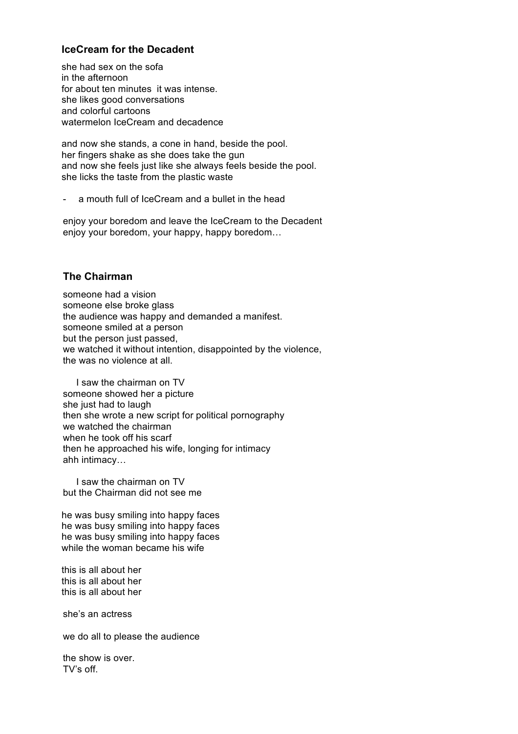# **IceCream for the Decadent**

she had sex on the sofa in the afternoon for about ten minutes it was intense. she likes good conversations and colorful cartoons watermelon IceCream and decadence

and now she stands, a cone in hand, beside the pool. her fingers shake as she does take the gun and now she feels just like she always feels beside the pool. she licks the taste from the plastic waste

a mouth full of IceCream and a bullet in the head

enjoy your boredom and leave the IceCream to the Decadent enjoy your boredom, your happy, happy boredom…

# **The Chairman**

someone had a vision someone else broke glass the audience was happy and demanded a manifest. someone smiled at a person but the person just passed, we watched it without intention, disappointed by the violence, the was no violence at all.

 I saw the chairman on TV someone showed her a picture she just had to laugh then she wrote a new script for political pornography we watched the chairman when he took off his scarf then he approached his wife, longing for intimacy ahh intimacy…

 I saw the chairman on TV but the Chairman did not see me

he was busy smiling into happy faces he was busy smiling into happy faces he was busy smiling into happy faces while the woman became his wife

this is all about her this is all about her this is all about her

she's an actress

we do all to please the audience

the show is over. TV's off.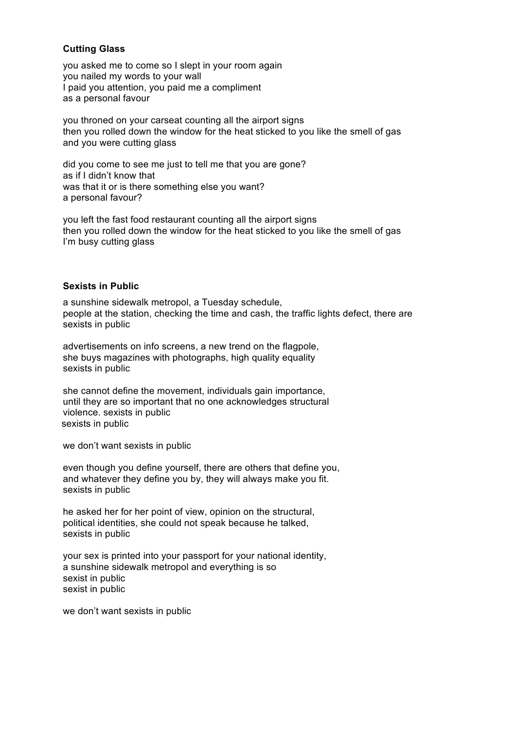### **Cutting Glass**

you asked me to come so I slept in your room again you nailed my words to your wall I paid you attention, you paid me a compliment as a personal favour

you throned on your carseat counting all the airport signs then you rolled down the window for the heat sticked to you like the smell of gas and you were cutting glass

did you come to see me just to tell me that you are gone? as if I didn't know that was that it or is there something else you want? a personal favour?

you left the fast food restaurant counting all the airport signs then you rolled down the window for the heat sticked to you like the smell of gas I'm busy cutting glass

#### **Sexists in Public**

a sunshine sidewalk metropol, a Tuesday schedule, people at the station, checking the time and cash, the traffic lights defect, there are sexists in public

advertisements on info screens, a new trend on the flagpole, she buys magazines with photographs, high quality equality sexists in public

she cannot define the movement, individuals gain importance, until they are so important that no one acknowledges structural violence. sexists in public sexists in public

we don't want sexists in public

even though you define yourself, there are others that define you, and whatever they define you by, they will always make you fit. sexists in public

he asked her for her point of view, opinion on the structural, political identities, she could not speak because he talked, sexists in public

your sex is printed into your passport for your national identity, a sunshine sidewalk metropol and everything is so sexist in public sexist in public

we don't want sexists in public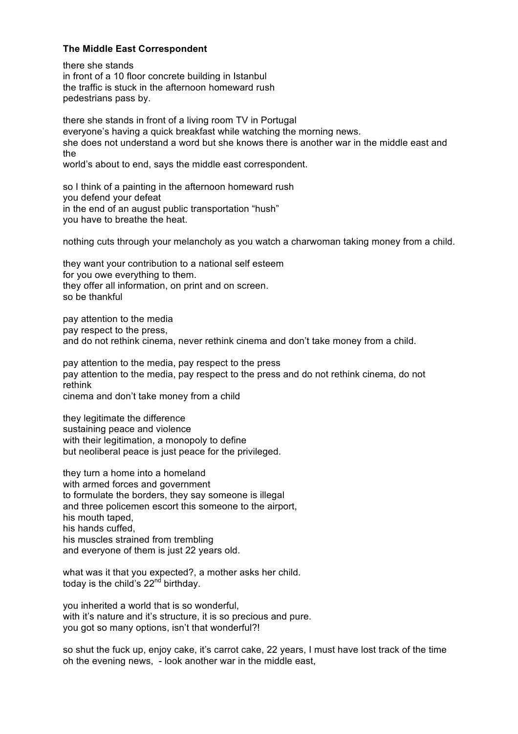### **The Middle East Correspondent**

there she stands in front of a 10 floor concrete building in Istanbul the traffic is stuck in the afternoon homeward rush pedestrians pass by.

there she stands in front of a living room TV in Portugal everyone's having a quick breakfast while watching the morning news. she does not understand a word but she knows there is another war in the middle east and the world's about to end, says the middle east correspondent.

so I think of a painting in the afternoon homeward rush you defend your defeat in the end of an august public transportation "hush" you have to breathe the heat.

nothing cuts through your melancholy as you watch a charwoman taking money from a child.

they want your contribution to a national self esteem for you owe everything to them. they offer all information, on print and on screen. so be thankful

pay attention to the media pay respect to the press, and do not rethink cinema, never rethink cinema and don't take money from a child.

pay attention to the media, pay respect to the press pay attention to the media, pay respect to the press and do not rethink cinema, do not rethink cinema and don't take money from a child

they legitimate the difference sustaining peace and violence with their legitimation, a monopoly to define but neoliberal peace is just peace for the privileged.

they turn a home into a homeland with armed forces and government to formulate the borders, they say someone is illegal and three policemen escort this someone to the airport, his mouth taped, his hands cuffed, his muscles strained from trembling and everyone of them is just 22 years old.

what was it that you expected?, a mother asks her child. today is the child's  $22<sup>nd</sup>$  birthday.

you inherited a world that is so wonderful, with it's nature and it's structure, it is so precious and pure. you got so many options, isn't that wonderful?!

so shut the fuck up, enjoy cake, it's carrot cake, 22 years, I must have lost track of the time oh the evening news, - look another war in the middle east,